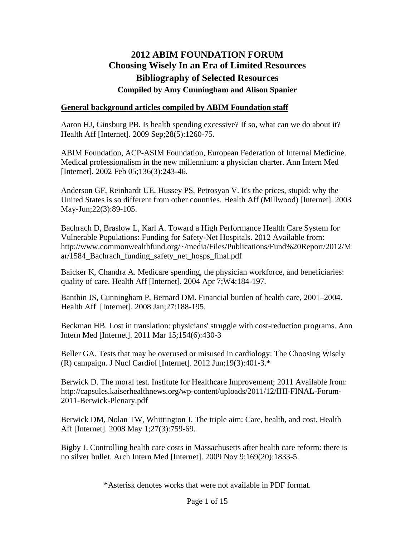# **2012 ABIM FOUNDATION FORUM Choosing Wisely In an Era of Limited Resources Bibliography of Selected Resources Compiled by Amy Cunningham and Alison Spanier**

### **General background articles compiled by ABIM Foundation staff**

Aaron HJ, Ginsburg PB. Is health spending excessive? If so, what can we do about it? Health Aff [Internet]. 2009 Sep;28(5):1260-75.

ABIM Foundation, ACP-ASIM Foundation, European Federation of Internal Medicine. Medical professionalism in the new millennium: a physician charter. Ann Intern Med [Internet]. 2002 Feb 05;136(3):243-46.

Anderson GF, Reinhardt UE, Hussey PS, Petrosyan V. It's the prices, stupid: why the United States is so different from other countries. Health Aff (Millwood) [Internet]. 2003 May-Jun;22(3):89-105.

Bachrach D, Braslow L, Karl A. Toward a High Performance Health Care System for Vulnerable Populations: Funding for Safety-Net Hospitals. 2012 Available from: http://www.commonwealthfund.org/~/media/Files/Publications/Fund%20Report/2012/M ar/1584\_Bachrach\_funding\_safety\_net\_hosps\_final.pdf

Baicker K, Chandra A. Medicare spending, the physician workforce, and beneficiaries: quality of care. Health Aff [Internet]. 2004 Apr 7;W4:184-197.

Banthin JS, Cunningham P, Bernard DM. Financial burden of health care, 2001–2004. Health Aff [Internet]. 2008 Jan;27:188-195.

Beckman HB. Lost in translation: physicians' struggle with cost-reduction programs. Ann Intern Med [Internet]. 2011 Mar 15;154(6):430-3

Beller GA. Tests that may be overused or misused in cardiology: The Choosing Wisely (R) campaign. J Nucl Cardiol [Internet]. 2012 Jun;19(3):401-3.\*

Berwick D. The moral test. Institute for Healthcare Improvement; 2011 Available from: http://capsules.kaiserhealthnews.org/wp-content/uploads/2011/12/IHI-FINAL-Forum-2011-Berwick-Plenary.pdf

Berwick DM, Nolan TW, Whittington J. The triple aim: Care, health, and cost. Health Aff [Internet]. 2008 May 1;27(3):759-69.

Bigby J. Controlling health care costs in Massachusetts after health care reform: there is no silver bullet. Arch Intern Med [Internet]. 2009 Nov 9;169(20):1833-5.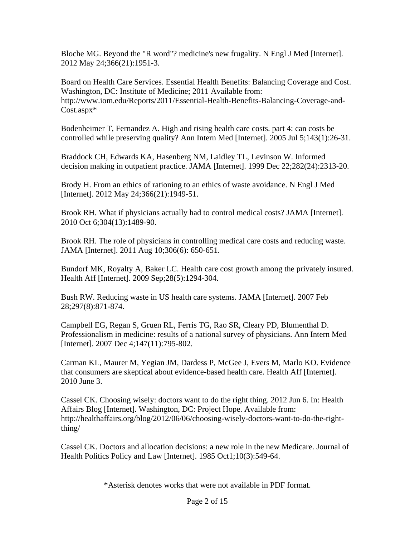Bloche MG. Beyond the "R word"? medicine's new frugality. N Engl J Med [Internet]. 2012 May 24;366(21):1951-3.

Board on Health Care Services. Essential Health Benefits: Balancing Coverage and Cost. Washington, DC: Institute of Medicine; 2011 Available from: http://www.iom.edu/Reports/2011/Essential-Health-Benefits-Balancing-Coverage-and-Cost.aspx\*

Bodenheimer T, Fernandez A. High and rising health care costs. part 4: can costs be controlled while preserving quality? Ann Intern Med [Internet]. 2005 Jul 5;143(1):26-31.

Braddock CH, Edwards KA, Hasenberg NM, Laidley TL, Levinson W. Informed decision making in outpatient practice. JAMA [Internet]. 1999 Dec 22;282(24):2313-20.

Brody H. From an ethics of rationing to an ethics of waste avoidance. N Engl J Med [Internet]. 2012 May 24;366(21):1949-51.

Brook RH. What if physicians actually had to control medical costs? JAMA [Internet]. 2010 Oct 6;304(13):1489-90.

Brook RH. The role of physicians in controlling medical care costs and reducing waste. JAMA [Internet]. 2011 Aug 10;306(6): 650-651.

Bundorf MK, Royalty A, Baker LC. Health care cost growth among the privately insured. Health Aff [Internet]. 2009 Sep;28(5):1294-304.

Bush RW. Reducing waste in US health care systems. JAMA [Internet]. 2007 Feb 28;297(8):871-874.

Campbell EG, Regan S, Gruen RL, Ferris TG, Rao SR, Cleary PD, Blumenthal D. Professionalism in medicine: results of a national survey of physicians. Ann Intern Med [Internet]. 2007 Dec 4;147(11):795-802.

Carman KL, Maurer M, Yegian JM, Dardess P, McGee J, Evers M, Marlo KO. Evidence that consumers are skeptical about evidence-based health care. Health Aff [Internet]. 2010 June 3.

Cassel CK. Choosing wisely: doctors want to do the right thing. 2012 Jun 6. In: Health Affairs Blog [Internet]. Washington, DC: Project Hope. Available from: http://healthaffairs.org/blog/2012/06/06/choosing-wisely-doctors-want-to-do-the-rightthing/

Cassel CK. Doctors and allocation decisions: a new role in the new Medicare. Journal of Health Politics Policy and Law [Internet]. 1985 Oct1;10(3):549-64.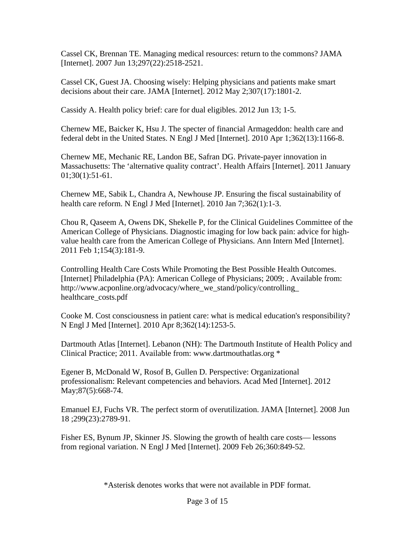Cassel CK, Brennan TE. Managing medical resources: return to the commons? JAMA [Internet]. 2007 Jun 13;297(22):2518-2521.

Cassel CK, Guest JA. Choosing wisely: Helping physicians and patients make smart decisions about their care. JAMA [Internet]. 2012 May 2;307(17):1801-2.

Cassidy A. Health policy brief: care for dual eligibles. 2012 Jun 13; 1-5.

Chernew ME, Baicker K, Hsu J. The specter of financial Armageddon: health care and federal debt in the United States. N Engl J Med [Internet]. 2010 Apr 1;362(13):1166-8.

Chernew ME, Mechanic RE, Landon BE, Safran DG. Private-payer innovation in Massachusetts: The 'alternative quality contract'. Health Affairs [Internet]. 2011 January 01;30(1):51-61.

Chernew ME, Sabik L, Chandra A, Newhouse JP. Ensuring the fiscal sustainability of health care reform. N Engl J Med [Internet]. 2010 Jan 7;362(1):1-3.

Chou R, Qaseem A, Owens DK, Shekelle P, for the Clinical Guidelines Committee of the American College of Physicians. Diagnostic imaging for low back pain: advice for highvalue health care from the American College of Physicians. Ann Intern Med [Internet]. 2011 Feb 1;154(3):181-9.

Controlling Health Care Costs While Promoting the Best Possible Health Outcomes. [Internet] Philadelphia (PA): American College of Physicians; 2009; . Available from: http://www.acponline.org/advocacy/where\_we\_stand/policy/controlling\_ healthcare\_costs.pdf

Cooke M. Cost consciousness in patient care: what is medical education's responsibility? N Engl J Med [Internet]. 2010 Apr 8;362(14):1253-5.

Dartmouth Atlas [Internet]. Lebanon (NH): The Dartmouth Institute of Health Policy and Clinical Practice; 2011. Available from: www.dartmouthatlas.org \*

Egener B, McDonald W, Rosof B, Gullen D. Perspective: Organizational professionalism: Relevant competencies and behaviors. Acad Med [Internet]. 2012 May; 87(5): 668-74.

Emanuel EJ, Fuchs VR. The perfect storm of overutilization. JAMA [Internet]. 2008 Jun 18 ;299(23):2789-91.

Fisher ES, Bynum JP, Skinner JS. Slowing the growth of health care costs— lessons from regional variation. N Engl J Med [Internet]. 2009 Feb 26;360:849-52.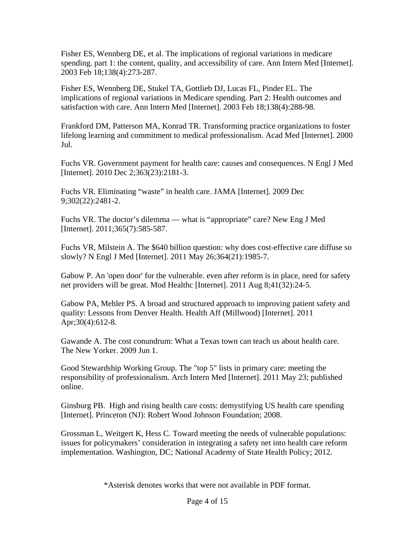Fisher ES, Wennberg DE, et al. The implications of regional variations in medicare spending. part 1: the content, quality, and accessibility of care. Ann Intern Med [Internet]. 2003 Feb 18;138(4):273-287.

Fisher ES, Wennberg DE, Stukel TA, Gottlieb DJ, Lucas FL, Pinder EL. The implications of regional variations in Medicare spending. Part 2: Health outcomes and satisfaction with care. Ann Intern Med [Internet]. 2003 Feb 18;138(4):288-98.

Frankford DM, Patterson MA, Konrad TR. Transforming practice organizations to foster lifelong learning and commitment to medical professionalism. Acad Med [Internet]. 2000 Jul.

Fuchs VR. Government payment for health care: causes and consequences. N Engl J Med [Internet]. 2010 Dec 2;363(23):2181-3.

Fuchs VR. Eliminating "waste" in health care. JAMA [Internet]. 2009 Dec 9;302(22):2481-2.

Fuchs VR. The doctor's dilemma — what is "appropriate" care? New Eng J Med [Internet]. 2011;365(7):585-587.

Fuchs VR, Milstein A. The \$640 billion question: why does cost-effective care diffuse so slowly? N Engl J Med [Internet]. 2011 May 26;364(21):1985-7.

Gabow P. An 'open door' for the vulnerable. even after reform is in place, need for safety net providers will be great. Mod Healthc [Internet]. 2011 Aug 8;41(32):24-5.

Gabow PA, Mehler PS. A broad and structured approach to improving patient safety and quality: Lessons from Denver Health. Health Aff (Millwood) [Internet]. 2011 Apr;30(4):612-8.

Gawande A. The cost conundrum: What a Texas town can teach us about health care. The New Yorker. 2009 Jun 1.

Good Stewardship Working Group. The "top 5" lists in primary care: meeting the responsibility of professionalism. Arch Intern Med [Internet]. 2011 May 23; published online.

Ginsburg PB. High and rising health care costs: demystifying US health care spending [Internet]. Princeton (NJ): Robert Wood Johnson Foundation; 2008.

Grossman L, Weitgert K, Hess C. Toward meeting the needs of vulnerable populations: issues for policymakers' consideration in integrating a safety net into health care reform implementation. Washington, DC; National Academy of State Health Policy; 2012.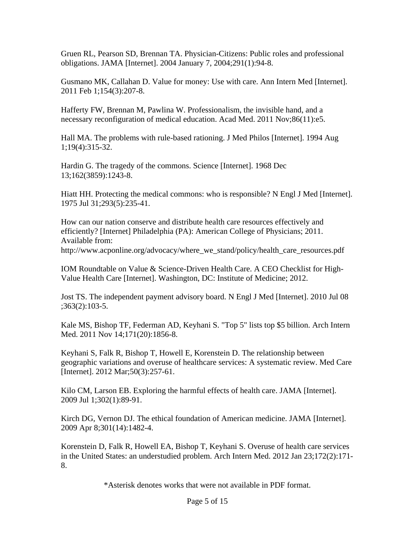Gruen RL, Pearson SD, Brennan TA. Physician-Citizens: Public roles and professional obligations. JAMA [Internet]. 2004 January 7, 2004;291(1):94-8.

Gusmano MK, Callahan D. Value for money: Use with care. Ann Intern Med [Internet]. 2011 Feb 1;154(3):207-8.

Hafferty FW, Brennan M, Pawlina W. Professionalism, the invisible hand, and a necessary reconfiguration of medical education. Acad Med. 2011 Nov;86(11):e5.

Hall MA. The problems with rule-based rationing. J Med Philos [Internet]. 1994 Aug 1;19(4):315-32.

Hardin G. The tragedy of the commons. Science [Internet]. 1968 Dec 13;162(3859):1243-8.

Hiatt HH. Protecting the medical commons: who is responsible? N Engl J Med [Internet]. 1975 Jul 31;293(5):235-41.

How can our nation conserve and distribute health care resources effectively and efficiently? [Internet] Philadelphia (PA): American College of Physicians; 2011. Available from: http://www.acponline.org/advocacy/where\_we\_stand/policy/health\_care\_resources.pdf

IOM Roundtable on Value & Science-Driven Health Care. A CEO Checklist for High-Value Health Care [Internet]. Washington, DC: Institute of Medicine; 2012.

Jost TS. The independent payment advisory board. N Engl J Med [Internet]. 2010 Jul 08 ;363(2):103-5.

Kale MS, Bishop TF, Federman AD, Keyhani S. "Top 5" lists top \$5 billion. Arch Intern Med. 2011 Nov 14;171(20):1856-8.

Keyhani S, Falk R, Bishop T, Howell E, Korenstein D. The relationship between geographic variations and overuse of healthcare services: A systematic review. Med Care [Internet]. 2012 Mar;50(3):257-61.

Kilo CM, Larson EB. Exploring the harmful effects of health care. JAMA [Internet]. 2009 Jul 1;302(1):89-91.

Kirch DG, Vernon DJ. The ethical foundation of American medicine. JAMA [Internet]. 2009 Apr 8;301(14):1482-4.

Korenstein D, Falk R, Howell EA, Bishop T, Keyhani S. Overuse of health care services in the United States: an understudied problem. Arch Intern Med. 2012 Jan 23;172(2):171- 8.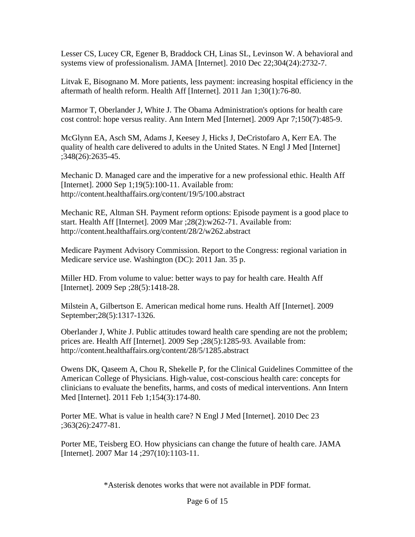Lesser CS, Lucey CR, Egener B, Braddock CH, Linas SL, Levinson W. A behavioral and systems view of professionalism. JAMA [Internet]. 2010 Dec 22;304(24):2732-7.

Litvak E, Bisognano M. More patients, less payment: increasing hospital efficiency in the aftermath of health reform. Health Aff [Internet]. 2011 Jan 1;30(1):76-80.

Marmor T, Oberlander J, White J. The Obama Administration's options for health care cost control: hope versus reality. Ann Intern Med [Internet]. 2009 Apr 7;150(7):485-9.

McGlynn EA, Asch SM, Adams J, Keesey J, Hicks J, DeCristofaro A, Kerr EA. The quality of health care delivered to adults in the United States. N Engl J Med [Internet] ;348(26):2635-45.

Mechanic D. Managed care and the imperative for a new professional ethic. Health Aff [Internet]. 2000 Sep 1;19(5):100-11. Available from: http://content.healthaffairs.org/content/19/5/100.abstract

Mechanic RE, Altman SH. Payment reform options: Episode payment is a good place to start. Health Aff [Internet]. 2009 Mar ;28(2):w262-71. Available from: http://content.healthaffairs.org/content/28/2/w262.abstract

Medicare Payment Advisory Commission. Report to the Congress: regional variation in Medicare service use. Washington (DC): 2011 Jan. 35 p.

Miller HD. From volume to value: better ways to pay for health care. Health Aff [Internet]. 2009 Sep ;28(5):1418-28.

Milstein A, Gilbertson E. American medical home runs. Health Aff [Internet]. 2009 September;28(5):1317-1326.

Oberlander J, White J. Public attitudes toward health care spending are not the problem; prices are. Health Aff [Internet]. 2009 Sep ;28(5):1285-93. Available from: http://content.healthaffairs.org/content/28/5/1285.abstract

Owens DK, Qaseem A, Chou R, Shekelle P, for the Clinical Guidelines Committee of the American College of Physicians. High-value, cost-conscious health care: concepts for clinicians to evaluate the benefits, harms, and costs of medical interventions. Ann Intern Med [Internet]. 2011 Feb 1;154(3):174-80.

Porter ME. What is value in health care? N Engl J Med [Internet]. 2010 Dec 23 ;363(26):2477-81.

Porter ME, Teisberg EO. How physicians can change the future of health care. JAMA [Internet]. 2007 Mar 14 ;297(10):1103-11.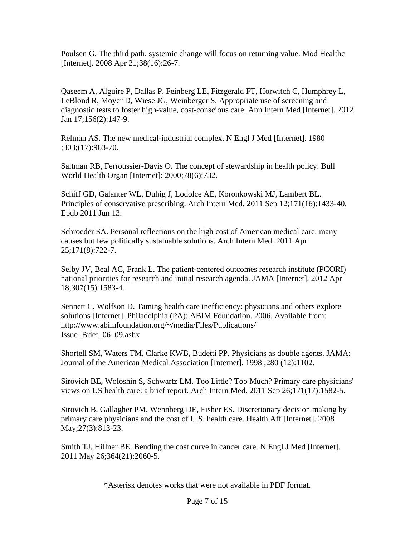Poulsen G. The third path. systemic change will focus on returning value. Mod Healthc [Internet]. 2008 Apr 21;38(16):26-7.

Qaseem A, Alguire P, Dallas P, Feinberg LE, Fitzgerald FT, Horwitch C, Humphrey L, LeBlond R, Moyer D, Wiese JG, Weinberger S. Appropriate use of screening and diagnostic tests to foster high-value, cost-conscious care. Ann Intern Med [Internet]. 2012 Jan 17;156(2):147-9.

Relman AS. The new medical-industrial complex. N Engl J Med [Internet]. 1980 ;303;(17):963-70.

Saltman RB, Ferroussier-Davis O. The concept of stewardship in health policy. Bull World Health Organ [Internet]: 2000;78(6):732.

Schiff GD, Galanter WL, Duhig J, Lodolce AE, Koronkowski MJ, Lambert BL. Principles of conservative prescribing. Arch Intern Med. 2011 Sep 12;171(16):1433-40. Epub 2011 Jun 13.

Schroeder SA. Personal reflections on the high cost of American medical care: many causes but few politically sustainable solutions. Arch Intern Med. 2011 Apr 25;171(8):722-7.

Selby JV, Beal AC, Frank L. The patient-centered outcomes research institute (PCORI) national priorities for research and initial research agenda. JAMA [Internet]. 2012 Apr 18;307(15):1583-4.

Sennett C, Wolfson D. Taming health care inefficiency: physicians and others explore solutions [Internet]. Philadelphia (PA): ABIM Foundation. 2006. Available from: http://www.abimfoundation.org/~/media/Files/Publications/ Issue\_Brief\_06\_09.ashx

Shortell SM, Waters TM, Clarke KWB, Budetti PP. Physicians as double agents. JAMA: Journal of the American Medical Association [Internet]. 1998 ;280 (12):1102.

Sirovich BE, Woloshin S, Schwartz LM. Too Little? Too Much? Primary care physicians' views on US health care: a brief report. Arch Intern Med. 2011 Sep 26;171(17):1582-5.

Sirovich B, Gallagher PM, Wennberg DE, Fisher ES. Discretionary decision making by primary care physicians and the cost of U.S. health care. Health Aff [Internet]. 2008 May; 27(3): 813-23.

Smith TJ, Hillner BE. Bending the cost curve in cancer care. N Engl J Med [Internet]. 2011 May 26;364(21):2060-5.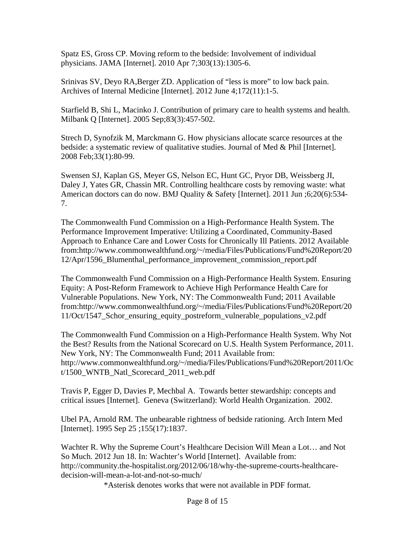Spatz ES, Gross CP. Moving reform to the bedside: Involvement of individual physicians. JAMA [Internet]. 2010 Apr 7;303(13):1305-6.

Srinivas SV, Deyo RA,Berger ZD. Application of "less is more" to low back pain. Archives of Internal Medicine [Internet]. 2012 June 4;172(11):1-5.

Starfield B, Shi L, Macinko J. Contribution of primary care to health systems and health. Milbank Q [Internet]. 2005 Sep;83(3):457-502.

Strech D, Synofzik M, Marckmann G. How physicians allocate scarce resources at the bedside: a systematic review of qualitative studies. Journal of Med & Phil [Internet]. 2008 Feb;33(1):80-99.

Swensen SJ, Kaplan GS, Meyer GS, Nelson EC, Hunt GC, Pryor DB, Weissberg JI, Daley J, Yates GR, Chassin MR. Controlling healthcare costs by removing waste: what American doctors can do now. BMJ Quality & Safety [Internet]. 2011 Jun ;6;20(6):534- 7.

The Commonwealth Fund Commission on a High-Performance Health System. The Performance Improvement Imperative: Utilizing a Coordinated, Community-Based Approach to Enhance Care and Lower Costs for Chronically Ill Patients. 2012 Available from:http://www.commonwealthfund.org/~/media/Files/Publications/Fund%20Report/20 12/Apr/1596\_Blumenthal\_performance\_improvement\_commission\_report.pdf

The Commonwealth Fund Commission on a High-Performance Health System. Ensuring Equity: A Post-Reform Framework to Achieve High Performance Health Care for Vulnerable Populations. New York, NY: The Commonwealth Fund; 2011 Available from:http://www.commonwealthfund.org/~/media/Files/Publications/Fund%20Report/20 11/Oct/1547\_Schor\_ensuring\_equity\_postreform\_vulnerable\_populations\_v2.pdf

The Commonwealth Fund Commission on a High-Performance Health System. Why Not the Best? Results from the National Scorecard on U.S. Health System Performance, 2011. New York, NY: The Commonwealth Fund; 2011 Available from: http://www.commonwealthfund.org/~/media/Files/Publications/Fund%20Report/2011/Oc t/1500\_WNTB\_Natl\_Scorecard\_2011\_web.pdf

Travis P, Egger D, Davies P, Mechbal A. Towards better stewardship: concepts and critical issues [Internet]. Geneva (Switzerland): World Health Organization. 2002.

Ubel PA, Arnold RM. The unbearable rightness of bedside rationing. Arch Intern Med [Internet]. 1995 Sep 25 ;155(17):1837.

Wachter R. Why the Supreme Court's Healthcare Decision Will Mean a Lot… and Not So Much. 2012 Jun 18. In: Wachter's World [Internet]. Available from: http://community.the-hospitalist.org/2012/06/18/why-the-supreme-courts-healthcaredecision-will-mean-a-lot-and-not-so-much/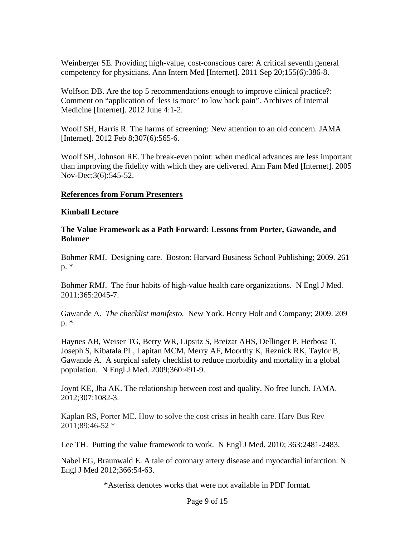Weinberger SE. Providing high-value, cost-conscious care: A critical seventh general competency for physicians. Ann Intern Med [Internet]. 2011 Sep 20;155(6):386-8.

Wolfson DB. Are the top 5 recommendations enough to improve clinical practice?: Comment on "application of 'less is more' to low back pain". Archives of Internal Medicine [Internet]. 2012 June 4:1-2.

Woolf SH, Harris R. The harms of screening: New attention to an old concern. JAMA [Internet]. 2012 Feb 8;307(6):565-6.

Woolf SH, Johnson RE. The break-even point: when medical advances are less important than improving the fidelity with which they are delivered. Ann Fam Med [Internet]. 2005 Nov-Dec;3(6):545-52.

#### **References from Forum Presenters**

#### **Kimball Lecture**

### **The Value Framework as a Path Forward: Lessons from Porter, Gawande, and Bohmer**

Bohmer RMJ. Designing care. Boston: Harvard Business School Publishing; 2009. 261 p. \*

Bohmer RMJ. The four habits of high-value health care organizations. N Engl J Med. 2011;365:2045-7.

Gawande A. *The checklist manifesto.* New York. Henry Holt and Company; 2009. 209 p. \*

Haynes AB, Weiser TG, Berry WR, Lipsitz S, Breizat AHS, Dellinger P, Herbosa T, Joseph S, Kibatala PL, Lapitan MCM, Merry AF, Moorthy K, Reznick RK, Taylor B, Gawande A. A surgical safety checklist to reduce morbidity and mortality in a global population. N Engl J Med. 2009;360:491-9.

Joynt KE, Jha AK. The relationship between cost and quality. No free lunch. JAMA. 2012;307:1082-3.

Kaplan RS, Porter ME. How to solve the cost crisis in health care. Harv Bus Rev 2011;89:46-52 \*

Lee TH. Putting the value framework to work. N Engl J Med. 2010; 363:2481-2483.

Nabel EG, Braunwald E. A tale of coronary artery disease and myocardial infarction. N Engl J Med 2012;366:54-63.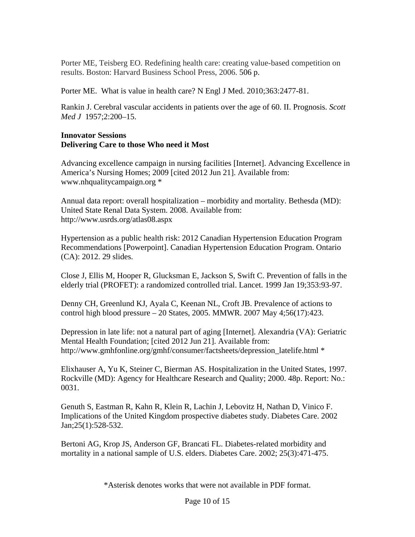Porter ME, Teisberg EO. Redefining health care: creating value-based competition on results. Boston: Harvard Business School Press, 2006. 506 p.

Porter ME. What is value in health care? N Engl J Med. 2010;363:2477-81.

Rankin J. Cerebral vascular accidents in patients over the age of 60. II. Prognosis. *Scott Med J* 1957;2:200–15.

### **Innovator Sessions Delivering Care to those Who need it Most**

Advancing excellence campaign in nursing facilities [Internet]. Advancing Excellence in America's Nursing Homes; 2009 [cited 2012 Jun 21]. Available from: www.nhqualitycampaign.org \*

Annual data report: overall hospitalization – morbidity and mortality. Bethesda (MD): United State Renal Data System. 2008. Available from: http://www.usrds.org/atlas08.aspx

Hypertension as a public health risk: 2012 Canadian Hypertension Education Program Recommendations [Powerpoint]. Canadian Hypertension Education Program. Ontario (CA): 2012. 29 slides.

Close J, Ellis M, Hooper R, Glucksman E, Jackson S, Swift C. Prevention of falls in the elderly trial (PROFET): a randomized controlled trial. Lancet. 1999 Jan 19;353:93-97.

Denny CH, Greenlund KJ, Ayala C, Keenan NL, Croft JB. Prevalence of actions to control high blood pressure – 20 States, 2005. MMWR. 2007 May 4;56(17):423.

Depression in late life: not a natural part of aging [Internet]. Alexandria (VA): Geriatric Mental Health Foundation; [cited 2012 Jun 21]. Available from: http://www.gmhfonline.org/gmhf/consumer/factsheets/depression\_latelife.html \*

Elixhauser A, Yu K, Steiner C, Bierman AS. Hospitalization in the United States, 1997. Rockville (MD): Agency for Healthcare Research and Quality; 2000. 48p. Report: No.: 0031.

Genuth S, Eastman R, Kahn R, Klein R, Lachin J, Lebovitz H, Nathan D, Vinico F. Implications of the United Kingdom prospective diabetes study. Diabetes Care. 2002 Jan;25(1):528-532.

Bertoni AG, Krop JS, Anderson GF, Brancati FL. Diabetes-related morbidity and mortality in a national sample of U.S. elders. Diabetes Care. 2002; 25(3):471-475.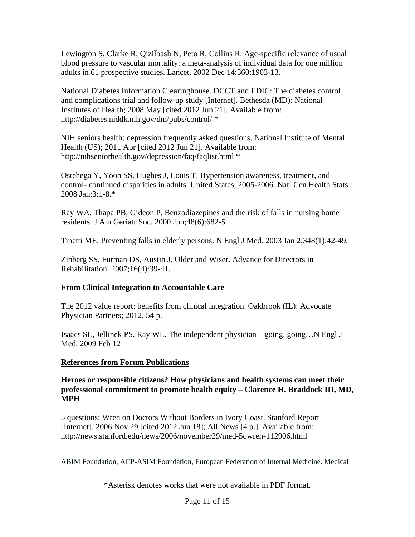Lewington S, Clarke R, Qizilbash N, Peto R, Collins R. Age-specific relevance of usual blood pressure to vascular mortality: a meta-analysis of individual data for one million adults in 61 prospective studies. Lancet. 2002 Dec 14;360:1903-13.

National Diabetes Information Clearinghouse. DCCT and EDIC: The diabetes control and complications trial and follow-up study [Internet]. Bethesda (MD): National Institutes of Health; 2008 May [cited 2012 Jun 21]. Available from: http://diabetes.niddk.nih.gov/dm/pubs/control/ \*

NIH seniors health: depression frequently asked questions. National Institute of Mental Health (US); 2011 Apr [cited 2012 Jun 21]. Available from: http://nihseniorhealth.gov/depression/faq/faqlist.html \*

Ostehega Y, Yoon SS, Hughes J, Louis T. Hypertension awareness, treatment, and control- continued disparities in adults: United States, 2005-2006. Natl Cen Health Stats. 2008 Jan;3:1-8.\*

Ray WA, Thapa PB, Gideon P. Benzodiazepines and the risk of falls in nursing home residents. J Am Geriatr Soc. 2000 Jun;48(6):682-5.

Tinetti ME. Preventing falls in elderly persons. N Engl J Med. 2003 Jan 2;348(1):42-49.

Zinberg SS, Furman DS, Austin J. Older and Wiser. Advance for Directors in Rehabilitation. 2007;16(4):39-41.

# **From Clinical Integration to Accountable Care**

The 2012 value report: benefits from clinical integration. Oakbrook (IL): Advocate Physician Partners; 2012. 54 p.

Isaacs SL, Jellinek PS, Ray WL. The independent physician – going, going…N Engl J Med. 2009 Feb 12

## **References from Forum Publications**

**Heroes or responsible citizens? How physicians and health systems can meet their professional commitment to promote health equity – Clarence H. Braddock III, MD, MPH** 

5 questions: Wren on Doctors Without Borders in Ivory Coast. Stanford Report [Internet]. 2006 Nov 29 [cited 2012 Jun 18]; All News [4 p.]. Available from: http://news.stanford.edu/news/2006/november29/med-5qwren-112906.html

ABIM Foundation, ACP-ASIM Foundation, European Federation of Internal Medicine. Medical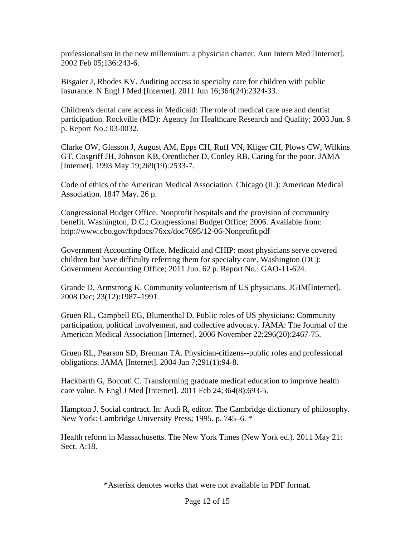professionalism in the new millennium: a physician charter. Ann Intern Med [Internet]. 2002 Feb 05;136:243-6.

Bisgaier J, Rhodes KV. Auditing access to specialty care for children with public insurance. N Engl J Med [Internet]. 2011 Jun 16;364(24):2324-33.

Children's dental care access in Medicaid: The role of medical care use and dentist participation. Rockville (MD): Agency for Healthcare Research and Quality; 2003 Jun. 9 p. Report No.: 03-0032.

Clarke OW, Glasson J, August AM, Epps CH, Ruff VN, Kliger CH, Plows CW, Wilkins GT, Cosgriff JH, Johnson KB, Orentlicher D, Conley RB. Caring for the poor. JAMA [Internet]. 1993 May 19;269(19):2533-7.

Code of ethics of the American Medical Association. Chicago (IL): American Medical Association. 1847 May. 26 p.

Congressional Budget Office. Nonprofit hospitals and the provision of community benefit. Washington, D.C.: Congressional Budget Office; 2006. Available from: http://www.cbo.gov/ftpdocs/76xx/doc7695/12-06-Nonprofit.pdf

Government Accounting Office. Medicaid and CHIP: most physicians serve covered children but have difficulty referring them for specialty care. Washington (DC): Government Accounting Office; 2011 Jun. 62 p. Report No.: GAO-11-624.

Grande D, Armstrong K. Community volunteerism of US physicians. JGIM[Internet]. 2008 Dec; 23(12):1987–1991.

Gruen RL, Campbell EG, Blumenthal D. Public roles of US physicians: Community participation, political involvement, and collective advocacy. JAMA: The Journal of the American Medical Association [Internet]. 2006 November 22;296(20):2467-75.

Gruen RL, Pearson SD, Brennan TA. Physician-citizens--public roles and professional obligations. JAMA [Internet]. 2004 Jan 7;291(1):94-8.

Hackbarth G, Boccuti C. Transforming graduate medical education to improve health care value. N Engl J Med [Internet]. 2011 Feb 24;364(8):693-5.

Hampton J. Social contract. In: Audi R, editor. The Cambridge dictionary of philosophy. New York: Cambridge University Press; 1995. p. 745–6. \*

Health reform in Massachusetts. The New York Times (New York ed.). 2011 May 21: Sect. A:18.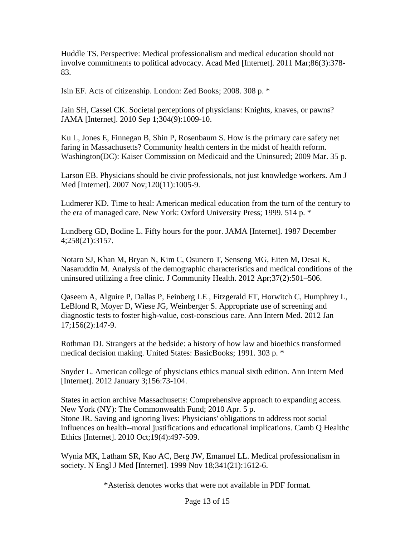Huddle TS. Perspective: Medical professionalism and medical education should not involve commitments to political advocacy. Acad Med [Internet]. 2011 Mar;86(3):378- 83.

Isin EF. Acts of citizenship. London: Zed Books; 2008. 308 p. \*

Jain SH, Cassel CK. Societal perceptions of physicians: Knights, knaves, or pawns? JAMA [Internet]. 2010 Sep 1;304(9):1009-10.

Ku L, Jones E, Finnegan B, Shin P, Rosenbaum S. How is the primary care safety net faring in Massachusetts? Community health centers in the midst of health reform. Washington(DC): Kaiser Commission on Medicaid and the Uninsured; 2009 Mar. 35 p.

Larson EB. Physicians should be civic professionals, not just knowledge workers. Am J Med [Internet]. 2007 Nov;120(11):1005-9.

Ludmerer KD. Time to heal: American medical education from the turn of the century to the era of managed care. New York: Oxford University Press; 1999. 514 p. \*

Lundberg GD, Bodine L. Fifty hours for the poor. JAMA [Internet]. 1987 December 4;258(21):3157.

Notaro SJ, Khan M, Bryan N, Kim C, Osunero T, Senseng MG, Eiten M, Desai K, Nasaruddin M. Analysis of the demographic characteristics and medical conditions of the uninsured utilizing a free clinic. J Community Health. 2012 Apr;37(2):501–506.

Qaseem A, Alguire P, Dallas P, Feinberg LE , Fitzgerald FT, Horwitch C, Humphrey L, LeBlond R, Moyer D, Wiese JG, Weinberger S. Appropriate use of screening and diagnostic tests to foster high-value, cost-conscious care. Ann Intern Med. 2012 Jan 17;156(2):147-9.

Rothman DJ. Strangers at the bedside: a history of how law and bioethics transformed medical decision making. United States: BasicBooks; 1991. 303 p. \*

Snyder L. American college of physicians ethics manual sixth edition. Ann Intern Med [Internet]. 2012 January 3;156:73-104.

States in action archive Massachusetts: Comprehensive approach to expanding access. New York (NY): The Commonwealth Fund; 2010 Apr. 5 p. Stone JR. Saving and ignoring lives: Physicians' obligations to address root social influences on health--moral justifications and educational implications. Camb Q Healthc Ethics [Internet]. 2010 Oct;19(4):497-509.

Wynia MK, Latham SR, Kao AC, Berg JW, Emanuel LL. Medical professionalism in society. N Engl J Med [Internet]. 1999 Nov 18;341(21):1612-6.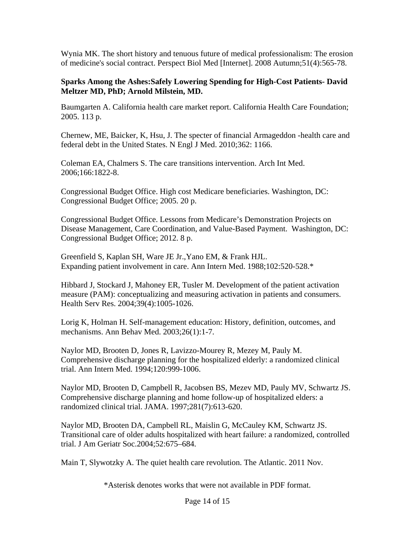Wynia MK. The short history and tenuous future of medical professionalism: The erosion of medicine's social contract. Perspect Biol Med [Internet]. 2008 Autumn;51(4):565-78.

#### **Sparks Among the Ashes:Safely Lowering Spending for High-Cost Patients- David Meltzer MD, PhD; Arnold Milstein, MD.**

Baumgarten A. California health care market report. California Health Care Foundation; 2005. 113 p.

Chernew, ME, Baicker, K, Hsu, J. The specter of financial Armageddon -health care and federal debt in the United States. N Engl J Med. 2010;362: 1166.

Coleman EA, Chalmers S. The care transitions intervention. Arch Int Med. 2006;166:1822-8.

Congressional Budget Office. High cost Medicare beneficiaries. Washington, DC: Congressional Budget Office; 2005. 20 p.

Congressional Budget Office. Lessons from Medicare's Demonstration Projects on Disease Management, Care Coordination, and Value-Based Payment. Washington, DC: Congressional Budget Office; 2012. 8 p.

Greenfield S, Kaplan SH, Ware JE Jr.,Yano EM, & Frank HJL. Expanding patient involvement in care. Ann Intern Med. 1988;102:520-528.\*

Hibbard J, Stockard J, Mahoney ER, Tusler M. Development of the patient activation measure (PAM): conceptualizing and measuring activation in patients and consumers. Health Serv Res. 2004;39(4):1005-1026.

Lorig K, Holman H. Self-management education: History, definition, outcomes, and mechanisms. Ann Behav Med. 2003;26(1):1-7.

Naylor MD, Brooten D, Jones R, Lavizzo-Mourey R, Mezey M, Pauly M. Comprehensive discharge planning for the hospitalized elderly: a randomized clinical trial. Ann Intern Med. 1994;120:999-1006.

Naylor MD, Brooten D, Campbell R, Jacobsen BS, Mezev MD, Pauly MV, Schwartz JS. Comprehensive discharge planning and home follow-up of hospitalized elders: a randomized clinical trial. JAMA. 1997;281(7):613-620.

Naylor MD, Brooten DA, Campbell RL, Maislin G, McCauley KM, Schwartz JS. Transitional care of older adults hospitalized with heart failure: a randomized, controlled trial. J Am Geriatr Soc.2004;52:675–684.

Main T, Slywotzky A. The quiet health care revolution. The Atlantic. 2011 Nov.